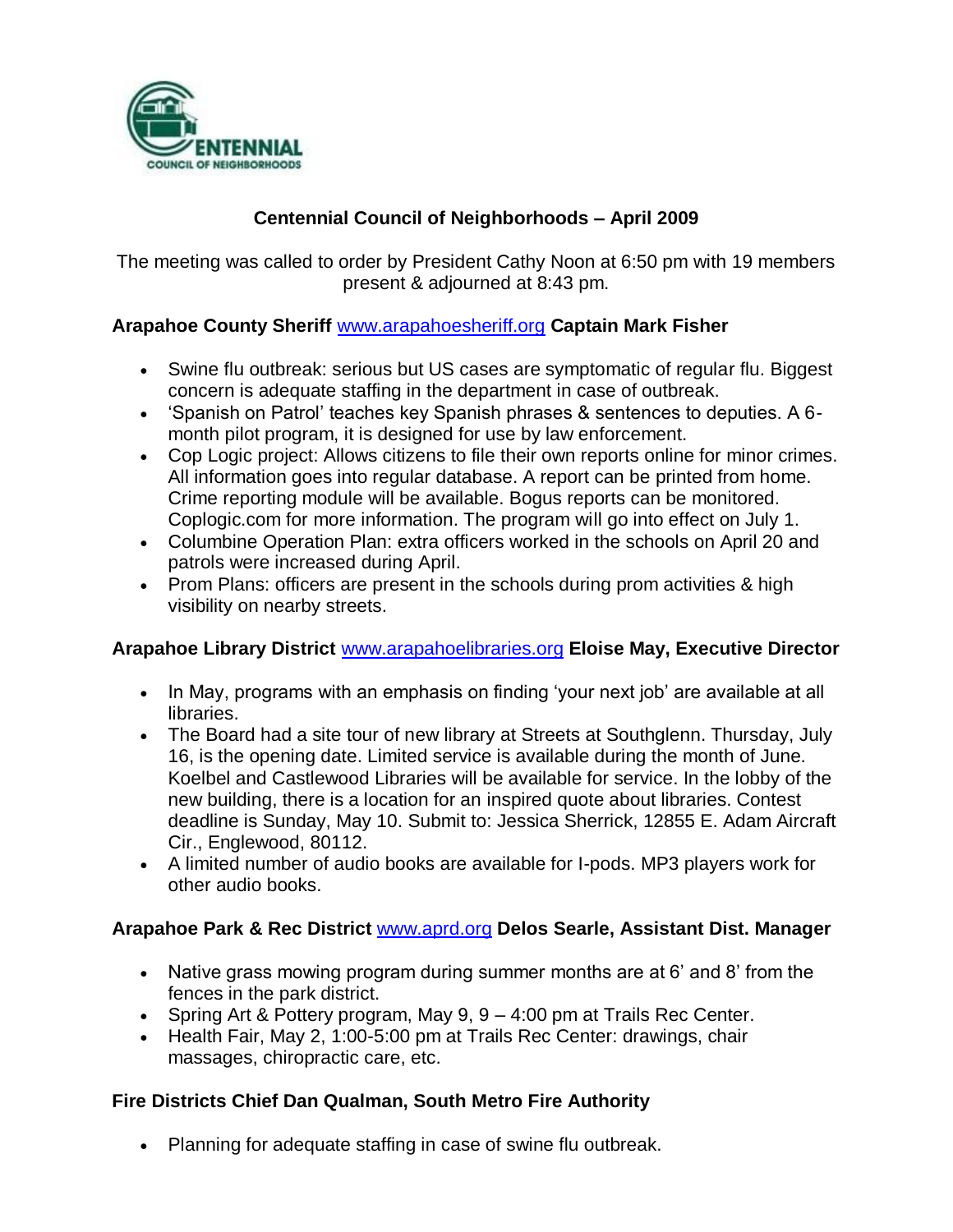

# **Centennial Council of Neighborhoods – April 2009**

The meeting was called to order by President Cathy Noon at 6:50 pm with 19 members present & adjourned at 8:43 pm.

## **Arapahoe County Sheriff** [www.arapahoesheriff.org](http://www.arapahoesheriff.org/) **Captain Mark Fisher**

- Swine flu outbreak: serious but US cases are symptomatic of regular flu. Biggest concern is adequate staffing in the department in case of outbreak.
- 'Spanish on Patrol' teaches key Spanish phrases & sentences to deputies. A 6 month pilot program, it is designed for use by law enforcement.
- Cop Logic project: Allows citizens to file their own reports online for minor crimes. All information goes into regular database. A report can be printed from home. Crime reporting module will be available. Bogus reports can be monitored. Coplogic.com for more information. The program will go into effect on July 1.
- Columbine Operation Plan: extra officers worked in the schools on April 20 and patrols were increased during April.
- Prom Plans: officers are present in the schools during prom activities & high visibility on nearby streets.

## **Arapahoe Library District** [www.arapahoelibraries.org](http://www.arapahoelibraries.org/) **Eloise May, Executive Director**

- In May, programs with an emphasis on finding 'your next job' are available at all libraries.
- The Board had a site tour of new library at Streets at Southglenn. Thursday, July 16, is the opening date. Limited service is available during the month of June. Koelbel and Castlewood Libraries will be available for service. In the lobby of the new building, there is a location for an inspired quote about libraries. Contest deadline is Sunday, May 10. Submit to: Jessica Sherrick, 12855 E. Adam Aircraft Cir., Englewood, 80112.
- A limited number of audio books are available for I-pods. MP3 players work for other audio books.

## **Arapahoe Park & Rec District** [www.aprd.org](http://www.aprd.org/) **Delos Searle, Assistant Dist. Manager**

- Native grass mowing program during summer months are at 6' and 8' from the fences in the park district.
- Spring Art & Pottery program, May  $9, 9 4:00$  pm at Trails Rec Center.
- Health Fair, May 2, 1:00-5:00 pm at Trails Rec Center: drawings, chair massages, chiropractic care, etc.

## **Fire Districts Chief Dan Qualman, South Metro Fire Authority**

Planning for adequate staffing in case of swine flu outbreak.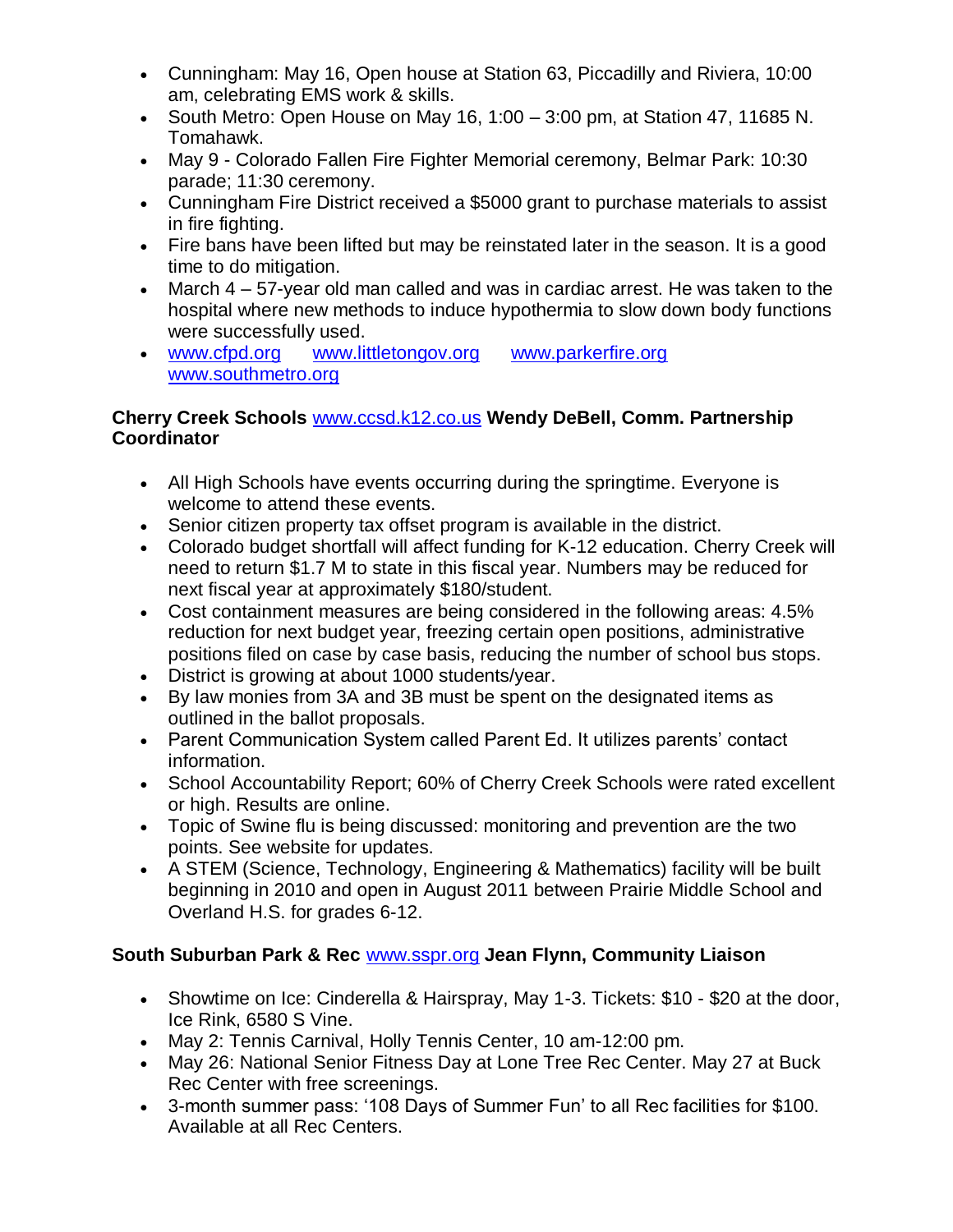- Cunningham: May 16, Open house at Station 63, Piccadilly and Riviera, 10:00 am, celebrating EMS work & skills.
- South Metro: Open House on May 16, 1:00  $-$  3:00 pm, at Station 47, 11685 N. Tomahawk.
- May 9 Colorado Fallen Fire Fighter Memorial ceremony, Belmar Park: 10:30 parade; 11:30 ceremony.
- Cunningham Fire District received a \$5000 grant to purchase materials to assist in fire fighting.
- Fire bans have been lifted but may be reinstated later in the season. It is a good time to do mitigation.
- March 4 57-year old man called and was in cardiac arrest. He was taken to the hospital where new methods to induce hypothermia to slow down body functions were successfully used.
- [www.cfpd.org](http://www.cfpd.org/) [www.littletongov.org](http://www.littletongov.org/) [www.parkerfire.org](http://www.parkerfire.org/)  [www.southmetro.org](http://www.southmetro.org/)

## **Cherry Creek Schools** [www.ccsd.k12.co.us](http://www.ccsd.k12.co.us/) **Wendy DeBell, Comm. Partnership Coordinator**

- All High Schools have events occurring during the springtime. Everyone is welcome to attend these events.
- Senior citizen property tax offset program is available in the district.
- Colorado budget shortfall will affect funding for K-12 education. Cherry Creek will need to return \$1.7 M to state in this fiscal year. Numbers may be reduced for next fiscal year at approximately \$180/student.
- Cost containment measures are being considered in the following areas: 4.5% reduction for next budget year, freezing certain open positions, administrative positions filed on case by case basis, reducing the number of school bus stops.
- District is growing at about 1000 students/year.
- By law monies from 3A and 3B must be spent on the designated items as outlined in the ballot proposals.
- Parent Communication System called Parent Ed. It utilizes parents' contact information.
- School Accountability Report; 60% of Cherry Creek Schools were rated excellent or high. Results are online.
- Topic of Swine flu is being discussed: monitoring and prevention are the two points. See website for updates.
- A STEM (Science, Technology, Engineering & Mathematics) facility will be built beginning in 2010 and open in August 2011 between Prairie Middle School and Overland H.S. for grades 6-12.

# **South Suburban Park & Rec** [www.sspr.org](http://www.sspr.org/) **Jean Flynn, Community Liaison**

- Showtime on Ice: Cinderella & Hairspray, May 1-3. Tickets: \$10 \$20 at the door, Ice Rink, 6580 S Vine.
- May 2: Tennis Carnival, Holly Tennis Center, 10 am-12:00 pm.
- May 26: National Senior Fitness Day at Lone Tree Rec Center. May 27 at Buck Rec Center with free screenings.
- 3-month summer pass: '108 Days of Summer Fun' to all Rec facilities for \$100. Available at all Rec Centers.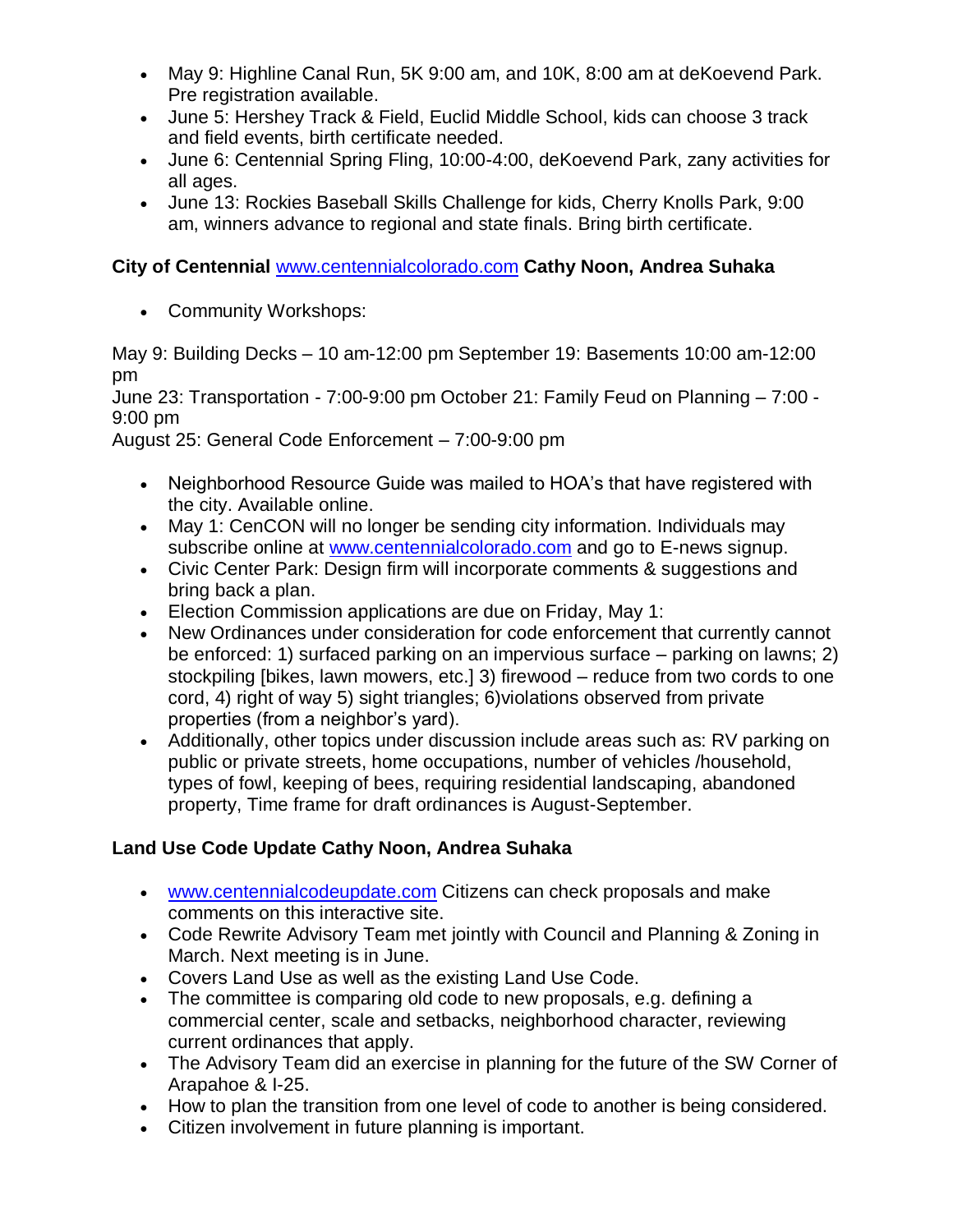- May 9: Highline Canal Run, 5K 9:00 am, and 10K, 8:00 am at deKoevend Park. Pre registration available.
- June 5: Hershey Track & Field, Euclid Middle School, kids can choose 3 track and field events, birth certificate needed.
- June 6: Centennial Spring Fling, 10:00-4:00, deKoevend Park, zany activities for all ages.
- June 13: Rockies Baseball Skills Challenge for kids, Cherry Knolls Park, 9:00 am, winners advance to regional and state finals. Bring birth certificate.

## **City of Centennial** [www.centennialcolorado.com](http://www.centennialcolorado.com/) **Cathy Noon, Andrea Suhaka**

Community Workshops:

May 9: Building Decks – 10 am-12:00 pm September 19: Basements 10:00 am-12:00 pm

June 23: Transportation - 7:00-9:00 pm October 21: Family Feud on Planning – 7:00 - 9:00 pm

August 25: General Code Enforcement – 7:00-9:00 pm

- Neighborhood Resource Guide was mailed to HOA's that have registered with the city. Available online.
- May 1: CenCON will no longer be sending city information. Individuals may subscribe online at [www.centennialcolorado.com](http://www.centennialcolorado.com/) and go to E-news signup.
- Civic Center Park: Design firm will incorporate comments & suggestions and bring back a plan.
- Election Commission applications are due on Friday, May 1:
- New Ordinances under consideration for code enforcement that currently cannot be enforced: 1) surfaced parking on an impervious surface – parking on lawns; 2) stockpiling [bikes, lawn mowers, etc.] 3) firewood – reduce from two cords to one cord, 4) right of way 5) sight triangles; 6)violations observed from private properties (from a neighbor's yard).
- Additionally, other topics under discussion include areas such as: RV parking on public or private streets, home occupations, number of vehicles /household, types of fowl, keeping of bees, requiring residential landscaping, abandoned property, Time frame for draft ordinances is August-September.

# **Land Use Code Update Cathy Noon, Andrea Suhaka**

- [www.centennialcodeupdate.com](http://www.centennialcodeupdate.com/) Citizens can check proposals and make comments on this interactive site.
- Code Rewrite Advisory Team met jointly with Council and Planning & Zoning in March. Next meeting is in June.
- Covers Land Use as well as the existing Land Use Code.
- The committee is comparing old code to new proposals, e.g. defining a commercial center, scale and setbacks, neighborhood character, reviewing current ordinances that apply.
- The Advisory Team did an exercise in planning for the future of the SW Corner of Arapahoe & I-25.
- How to plan the transition from one level of code to another is being considered.
- Citizen involvement in future planning is important.